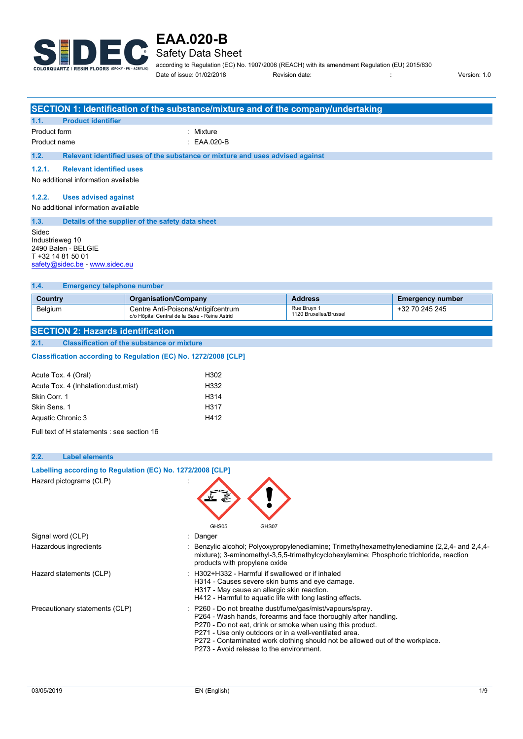

Safety Data Sheet

according to Regulation (EC) No. 1907/2006 (REACH) with its amendment Regulation (EU) 2015/830 Date of issue: 01/02/2018 Revision date: : Version: 1.0

|                                                                                                                                                                               |                                                                                               |                                                   | SECTION 1: Identification of the substance/mixture and of the company/undertaking |                                       |                                                                                                                                                                                         |
|-------------------------------------------------------------------------------------------------------------------------------------------------------------------------------|-----------------------------------------------------------------------------------------------|---------------------------------------------------|-----------------------------------------------------------------------------------|---------------------------------------|-----------------------------------------------------------------------------------------------------------------------------------------------------------------------------------------|
| 1.1.                                                                                                                                                                          | <b>Product identifier</b>                                                                     |                                                   |                                                                                   |                                       |                                                                                                                                                                                         |
| Product form                                                                                                                                                                  |                                                                                               |                                                   | : Mixture                                                                         |                                       |                                                                                                                                                                                         |
| Product name                                                                                                                                                                  |                                                                                               |                                                   | EAA.020-B                                                                         |                                       |                                                                                                                                                                                         |
| 1.2.                                                                                                                                                                          |                                                                                               |                                                   | Relevant identified uses of the substance or mixture and uses advised against     |                                       |                                                                                                                                                                                         |
| 1.2.1.                                                                                                                                                                        | <b>Relevant identified uses</b>                                                               |                                                   |                                                                                   |                                       |                                                                                                                                                                                         |
|                                                                                                                                                                               | No additional information available                                                           |                                                   |                                                                                   |                                       |                                                                                                                                                                                         |
| 1.2.2.                                                                                                                                                                        | <b>Uses advised against</b>                                                                   |                                                   |                                                                                   |                                       |                                                                                                                                                                                         |
|                                                                                                                                                                               | No additional information available                                                           |                                                   |                                                                                   |                                       |                                                                                                                                                                                         |
| 1.3.                                                                                                                                                                          |                                                                                               | Details of the supplier of the safety data sheet  |                                                                                   |                                       |                                                                                                                                                                                         |
| Sidec                                                                                                                                                                         | Industrieweg 10<br>2490 Balen - BELGIE<br>T +32 14 81 50 01<br>safety@sidec.be - www.sidec.eu |                                                   |                                                                                   |                                       |                                                                                                                                                                                         |
| 1.4.                                                                                                                                                                          | <b>Emergency telephone number</b>                                                             |                                                   |                                                                                   |                                       |                                                                                                                                                                                         |
| Country                                                                                                                                                                       |                                                                                               | <b>Organisation/Company</b>                       |                                                                                   | <b>Address</b>                        | <b>Emergency number</b>                                                                                                                                                                 |
| Belgium                                                                                                                                                                       |                                                                                               | Centre Anti-Poisons/Antigifcentrum                |                                                                                   | Rue Bruyn 1<br>1120 Bruxelles/Brussel | +32 70 245 245                                                                                                                                                                          |
|                                                                                                                                                                               |                                                                                               | c/o Hôpital Central de la Base - Reine Astrid     |                                                                                   |                                       |                                                                                                                                                                                         |
|                                                                                                                                                                               | <b>SECTION 2: Hazards identification</b>                                                      |                                                   |                                                                                   |                                       |                                                                                                                                                                                         |
| 2.1.                                                                                                                                                                          |                                                                                               | <b>Classification of the substance or mixture</b> |                                                                                   |                                       |                                                                                                                                                                                         |
|                                                                                                                                                                               | Classification according to Regulation (EC) No. 1272/2008 [CLP]                               |                                                   |                                                                                   |                                       |                                                                                                                                                                                         |
|                                                                                                                                                                               | Acute Tox. 4 (Oral)                                                                           |                                                   | H302                                                                              |                                       |                                                                                                                                                                                         |
|                                                                                                                                                                               | Acute Tox. 4 (Inhalation:dust, mist)                                                          |                                                   | H332                                                                              |                                       |                                                                                                                                                                                         |
| Skin Corr. 1                                                                                                                                                                  |                                                                                               |                                                   | H314                                                                              |                                       |                                                                                                                                                                                         |
| Skin Sens. 1                                                                                                                                                                  |                                                                                               | H317                                              |                                                                                   |                                       |                                                                                                                                                                                         |
| Aquatic Chronic 3<br>H412                                                                                                                                                     |                                                                                               |                                                   |                                                                                   |                                       |                                                                                                                                                                                         |
|                                                                                                                                                                               | Full text of H statements : see section 16                                                    |                                                   |                                                                                   |                                       |                                                                                                                                                                                         |
|                                                                                                                                                                               |                                                                                               |                                                   |                                                                                   |                                       |                                                                                                                                                                                         |
| 2.2.                                                                                                                                                                          | <b>Label elements</b>                                                                         |                                                   |                                                                                   |                                       |                                                                                                                                                                                         |
| Labelling according to Regulation (EC) No. 1272/2008 [CLP]                                                                                                                    |                                                                                               |                                                   |                                                                                   |                                       |                                                                                                                                                                                         |
|                                                                                                                                                                               | Hazard pictograms (CLP)                                                                       |                                                   | GHS05<br>GHS07                                                                    |                                       |                                                                                                                                                                                         |
|                                                                                                                                                                               | Signal word (CLP)                                                                             |                                                   | : Danger                                                                          |                                       |                                                                                                                                                                                         |
|                                                                                                                                                                               | Hazardous ingredients                                                                         |                                                   | products with propylene oxide                                                     |                                       | Benzylic alcohol; Polyoxypropylenediamine; Trimethylhexamethylenediamine (2,2,4- and 2,4,4-<br>mixture); 3-aminomethyl-3,5,5-trimethylcyclohexylamine; Phosphoric trichloride, reaction |
| : H302+H332 - Harmful if swallowed or if inhaled<br>Hazard statements (CLP)<br>H314 - Causes severe skin burns and eye damage.<br>H317 - May cause an allergic skin reaction. |                                                                                               |                                                   |                                                                                   |                                       |                                                                                                                                                                                         |

Precautionary statements (CLP)  $\qquad \qquad \therefore$  P260 - Do not breathe dust/fume/gas/mist/vapours/spray.

P264 - Wash hands, forearms and face thoroughly after handling.

- P270 Do not eat, drink or smoke when using this product.
- P271 Use only outdoors or in a well-ventilated area.
- P272 Contaminated work clothing should not be allowed out of the workplace.
- P273 Avoid release to the environment.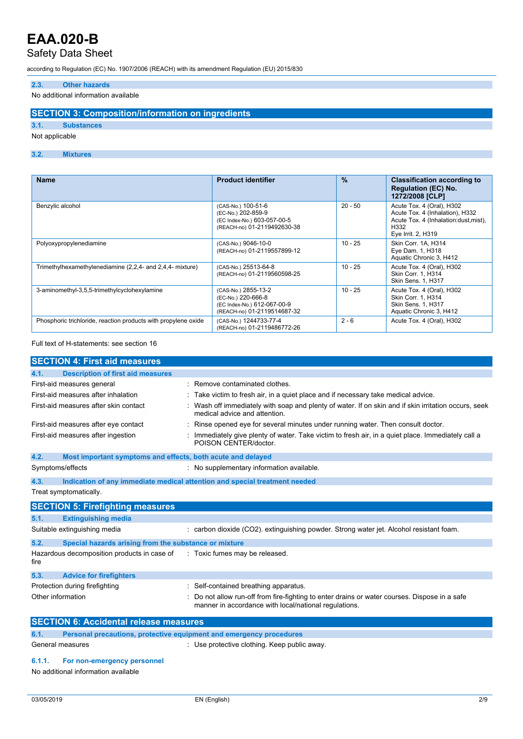### Safety Data Sheet

according to Regulation (EC) No. 1907/2006 (REACH) with its amendment Regulation (EU) 2015/830

### **2.3. Other hazards**

No additional information available

### **SECTION 3: Composition/information on ingredients**

### **3.1. Substances**

Not applicable

### **3.2. Mixtures**

| <b>Name</b>                                                    | <b>Product identifier</b>                                                                               | $\frac{9}{6}$ | <b>Classification according to</b><br><b>Regulation (EC) No.</b><br>1272/2008 [CLP]                                                 |
|----------------------------------------------------------------|---------------------------------------------------------------------------------------------------------|---------------|-------------------------------------------------------------------------------------------------------------------------------------|
| Benzylic alcohol                                               | (CAS-No.) 100-51-6<br>(EC-No.) 202-859-9<br>(EC Index-No.) 603-057-00-5<br>(REACH-no) 01-2119492630-38  | $20 - 50$     | Acute Tox. 4 (Oral), H302<br>Acute Tox. 4 (Inhalation), H332<br>Acute Tox. 4 (Inhalation:dust, mist),<br>H332<br>Eye Irrit. 2, H319 |
| Polyoxypropylenediamine                                        | (CAS-No.) 9046-10-0<br>(REACH-no) 01-2119557899-12                                                      | $10 - 25$     | Skin Corr. 1A. H314<br>Eye Dam. 1, H318<br>Aquatic Chronic 3, H412                                                                  |
| Trimethylhexamethylenediamine (2,2,4- and 2,4,4- mixture)      | (CAS-No.) 25513-64-8<br>(REACH-no) 01-2119560598-25                                                     | $10 - 25$     | Acute Tox. 4 (Oral), H302<br><b>Skin Corr. 1. H314</b><br>Skin Sens. 1, H317                                                        |
| 3-aminomethyl-3,5,5-trimethylcyclohexylamine                   | (CAS-No.) 2855-13-2<br>(EC-No.) 220-666-8<br>(EC Index-No.) 612-067-00-9<br>(REACH-no) 01-2119514687-32 | $10 - 25$     | Acute Tox. 4 (Oral), H302<br>Skin Corr. 1. H314<br><b>Skin Sens. 1, H317</b><br>Aquatic Chronic 3, H412                             |
| Phosphoric trichloride, reaction products with propylene oxide | (CAS-No.) 1244733-77-4<br>(REACH-no) 01-2119486772-26                                                   | $2 - 6$       | Acute Tox. 4 (Oral), H302                                                                                                           |

### Full text of H-statements: see section 16

| <b>SECTION 4: First aid measures</b>                                        |                                                                                                                                                      |  |  |
|-----------------------------------------------------------------------------|------------------------------------------------------------------------------------------------------------------------------------------------------|--|--|
| <b>Description of first aid measures</b><br>4.1.                            |                                                                                                                                                      |  |  |
| First-aid measures general                                                  | Remove contaminated clothes.                                                                                                                         |  |  |
| First-aid measures after inhalation                                         | Take victim to fresh air, in a quiet place and if necessary take medical advice.                                                                     |  |  |
| First-aid measures after skin contact                                       | Wash off immediately with soap and plenty of water. If on skin and if skin irritation occurs, seek<br>medical advice and attention.                  |  |  |
| First-aid measures after eye contact                                        | Rinse opened eye for several minutes under running water. Then consult doctor.                                                                       |  |  |
| First-aid measures after ingestion                                          | Immediately give plenty of water. Take victim to fresh air, in a quiet place. Immediately call a<br>POISON CENTER/doctor.                            |  |  |
| 4.2.<br>Most important symptoms and effects, both acute and delayed         |                                                                                                                                                      |  |  |
| Symptoms/effects                                                            | : No supplementary information available.                                                                                                            |  |  |
| 4.3.                                                                        | Indication of any immediate medical attention and special treatment needed                                                                           |  |  |
| Treat symptomatically.                                                      |                                                                                                                                                      |  |  |
| <b>SECTION 5: Firefighting measures</b>                                     |                                                                                                                                                      |  |  |
| 5.1.<br><b>Extinguishing media</b>                                          |                                                                                                                                                      |  |  |
| Suitable extinguishing media                                                | : carbon dioxide (CO2). extinguishing powder. Strong water jet. Alcohol resistant foam.                                                              |  |  |
| 5.2.<br>Special hazards arising from the substance or mixture               |                                                                                                                                                      |  |  |
| Hazardous decomposition products in case of<br>fire                         | : Toxic fumes may be released.                                                                                                                       |  |  |
| 5.3.<br><b>Advice for firefighters</b>                                      |                                                                                                                                                      |  |  |
| Protection during firefighting                                              | Self-contained breathing apparatus.                                                                                                                  |  |  |
| Other information                                                           | Do not allow run-off from fire-fighting to enter drains or water courses. Dispose in a safe<br>manner in accordance with local/national regulations. |  |  |
| <b>SECTION 6: Accidental release measures</b>                               |                                                                                                                                                      |  |  |
| 6.1.<br>Personal precautions, protective equipment and emergency procedures |                                                                                                                                                      |  |  |
| General measures                                                            | : Use protective clothing. Keep public away.                                                                                                         |  |  |
| 6.1.1.<br>For non-emergency personnel                                       |                                                                                                                                                      |  |  |
| No additional information available                                         |                                                                                                                                                      |  |  |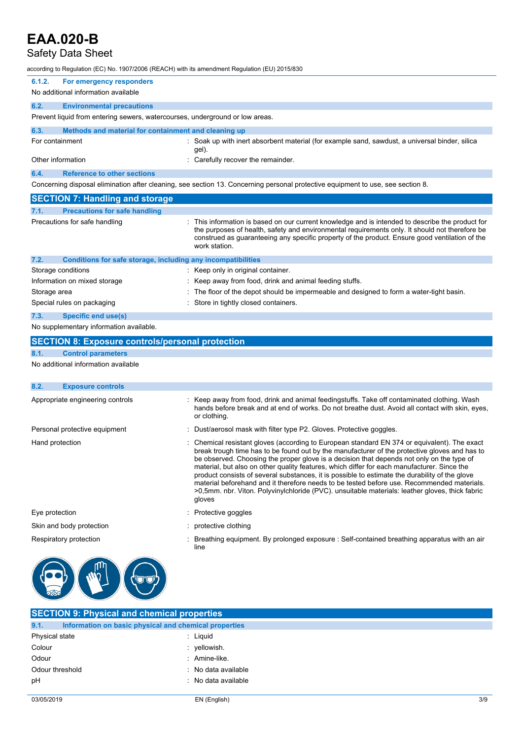## Safety Data Sheet

| according to Regulation (EC) No. 1907/2006 (REACH) with its amendment Regulation (EU) 2015/830 |                                                                                                                                                                                                                                                                                                                                                                                                                                                                                                                                                                                                                                                                                                      |
|------------------------------------------------------------------------------------------------|------------------------------------------------------------------------------------------------------------------------------------------------------------------------------------------------------------------------------------------------------------------------------------------------------------------------------------------------------------------------------------------------------------------------------------------------------------------------------------------------------------------------------------------------------------------------------------------------------------------------------------------------------------------------------------------------------|
| 6.1.2.<br>For emergency responders                                                             |                                                                                                                                                                                                                                                                                                                                                                                                                                                                                                                                                                                                                                                                                                      |
| No additional information available                                                            |                                                                                                                                                                                                                                                                                                                                                                                                                                                                                                                                                                                                                                                                                                      |
| 6.2.<br><b>Environmental precautions</b>                                                       |                                                                                                                                                                                                                                                                                                                                                                                                                                                                                                                                                                                                                                                                                                      |
| Prevent liquid from entering sewers, watercourses, underground or low areas.                   |                                                                                                                                                                                                                                                                                                                                                                                                                                                                                                                                                                                                                                                                                                      |
| 6.3.<br>Methods and material for containment and cleaning up                                   |                                                                                                                                                                                                                                                                                                                                                                                                                                                                                                                                                                                                                                                                                                      |
| For containment                                                                                | : Soak up with inert absorbent material (for example sand, sawdust, a universal binder, silica<br>gel).                                                                                                                                                                                                                                                                                                                                                                                                                                                                                                                                                                                              |
| Other information                                                                              | : Carefully recover the remainder.                                                                                                                                                                                                                                                                                                                                                                                                                                                                                                                                                                                                                                                                   |
| 6.4.<br><b>Reference to other sections</b>                                                     |                                                                                                                                                                                                                                                                                                                                                                                                                                                                                                                                                                                                                                                                                                      |
|                                                                                                | Concerning disposal elimination after cleaning, see section 13. Concerning personal protective equipment to use, see section 8.                                                                                                                                                                                                                                                                                                                                                                                                                                                                                                                                                                      |
| <b>SECTION 7: Handling and storage</b>                                                         |                                                                                                                                                                                                                                                                                                                                                                                                                                                                                                                                                                                                                                                                                                      |
| 7.1.<br><b>Precautions for safe handling</b>                                                   |                                                                                                                                                                                                                                                                                                                                                                                                                                                                                                                                                                                                                                                                                                      |
| Precautions for safe handling                                                                  | : This information is based on our current knowledge and is intended to describe the product for<br>the purposes of health, safety and environmental requirements only. It should not therefore be<br>construed as guaranteeing any specific property of the product. Ensure good ventilation of the<br>work station.                                                                                                                                                                                                                                                                                                                                                                                |
| 7.2.<br>Conditions for safe storage, including any incompatibilities                           |                                                                                                                                                                                                                                                                                                                                                                                                                                                                                                                                                                                                                                                                                                      |
| Storage conditions                                                                             | : Keep only in original container.                                                                                                                                                                                                                                                                                                                                                                                                                                                                                                                                                                                                                                                                   |
| Information on mixed storage                                                                   | : Keep away from food, drink and animal feeding stuffs.                                                                                                                                                                                                                                                                                                                                                                                                                                                                                                                                                                                                                                              |
| Storage area                                                                                   | : The floor of the depot should be impermeable and designed to form a water-tight basin.                                                                                                                                                                                                                                                                                                                                                                                                                                                                                                                                                                                                             |
| Special rules on packaging                                                                     | : Store in tightly closed containers.                                                                                                                                                                                                                                                                                                                                                                                                                                                                                                                                                                                                                                                                |
| 7.3.<br><b>Specific end use(s)</b>                                                             |                                                                                                                                                                                                                                                                                                                                                                                                                                                                                                                                                                                                                                                                                                      |
| No supplementary information available.                                                        |                                                                                                                                                                                                                                                                                                                                                                                                                                                                                                                                                                                                                                                                                                      |
|                                                                                                |                                                                                                                                                                                                                                                                                                                                                                                                                                                                                                                                                                                                                                                                                                      |
| <b>SECTION 8: Exposure controls/personal protection</b>                                        |                                                                                                                                                                                                                                                                                                                                                                                                                                                                                                                                                                                                                                                                                                      |
| 8.1.<br><b>Control parameters</b>                                                              |                                                                                                                                                                                                                                                                                                                                                                                                                                                                                                                                                                                                                                                                                                      |
| No additional information available                                                            |                                                                                                                                                                                                                                                                                                                                                                                                                                                                                                                                                                                                                                                                                                      |
| 8.2.<br><b>Exposure controls</b>                                                               |                                                                                                                                                                                                                                                                                                                                                                                                                                                                                                                                                                                                                                                                                                      |
| Appropriate engineering controls                                                               | : Keep away from food, drink and animal feedingstuffs. Take off contaminated clothing. Wash<br>hands before break and at end of works. Do not breathe dust. Avoid all contact with skin, eyes,<br>or clothing.                                                                                                                                                                                                                                                                                                                                                                                                                                                                                       |
| Personal protective equipment                                                                  | Dust/aerosol mask with filter type P2. Gloves. Protective goggles.                                                                                                                                                                                                                                                                                                                                                                                                                                                                                                                                                                                                                                   |
| Hand protection                                                                                | Chemical resistant gloves (according to European standard EN 374 or equivalent). The exact<br>break trough time has to be found out by the manufacturer of the protective gloves and has to<br>be observed. Choosing the proper glove is a decision that depends not only on the type of<br>material, but also on other quality features, which differ for each manufacturer. Since the<br>product consists of several substances, it is possible to estimate the durability of the glove<br>material beforehand and it therefore needs to be tested before use. Recommended materials.<br>>0,5mm. nbr. Viton. Polyvinylchloride (PVC). unsuitable materials: leather gloves, thick fabric<br>gloves |
| Eye protection                                                                                 | Protective goggles                                                                                                                                                                                                                                                                                                                                                                                                                                                                                                                                                                                                                                                                                   |
| Skin and body protection                                                                       | : protective clothing                                                                                                                                                                                                                                                                                                                                                                                                                                                                                                                                                                                                                                                                                |
| Respiratory protection                                                                         | Breathing equipment. By prolonged exposure : Self-contained breathing apparatus with an air<br>line                                                                                                                                                                                                                                                                                                                                                                                                                                                                                                                                                                                                  |

| <b>SECTION 9: Physical and chemical properties</b>            |                     |  |  |
|---------------------------------------------------------------|---------------------|--|--|
| 9.1.<br>Information on basic physical and chemical properties |                     |  |  |
| Physical state                                                | : Liguid            |  |  |
| Colour                                                        | : yellowish.        |  |  |
| Odour                                                         | : Amine-like.       |  |  |
| Odour threshold                                               | : No data available |  |  |
| pH                                                            | : No data available |  |  |
|                                                               |                     |  |  |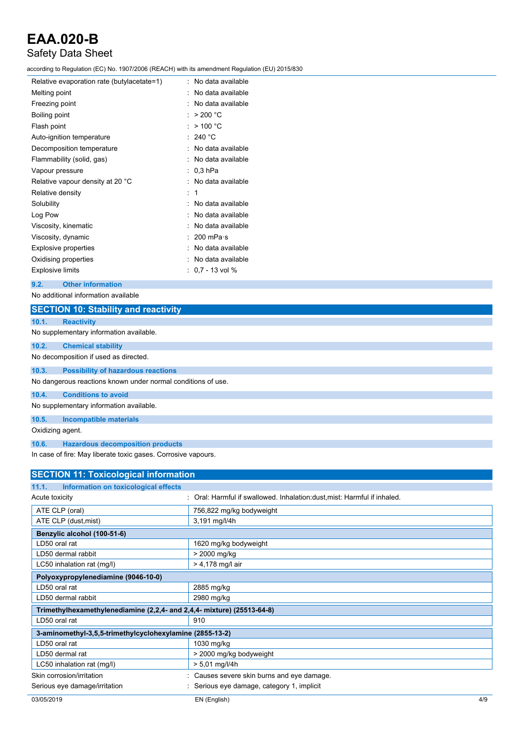### Safety Data Sheet

according to Regulation (EC) No. 1907/2006 (REACH) with its amendment Regulation (EU) 2015/830

| Relative evaporation rate (butylacetate=1) |   | No data available |
|--------------------------------------------|---|-------------------|
| Melting point                              |   | No data available |
| Freezing point                             |   | No data available |
| Boiling point                              |   | > 200 °C          |
| Flash point                                |   | $>$ 100 °C        |
| Auto-ignition temperature                  |   | 240 $^{\circ}$ C  |
| Decomposition temperature                  |   | No data available |
| Flammability (solid, gas)                  |   | No data available |
| Vapour pressure                            |   | $0.3$ hPa         |
| Relative vapour density at 20 °C           |   | No data available |
| Relative density                           | ۰ | 1                 |
| Solubility                                 |   | No data available |
| Log Pow                                    |   | No data available |
| Viscosity, kinematic                       |   | No data available |
| Viscosity, dynamic                         |   | 200 mPa $\cdot$ s |
| <b>Explosive properties</b>                |   | No data available |
| Oxidising properties                       |   | No data available |
| <b>Explosive limits</b>                    |   | $0.7 - 13$ vol %  |
|                                            |   |                   |

### **9.2. Other information**

No additional information available

|                                         | <b>SECTION 10: Stability and reactivity</b>                  |  |
|-----------------------------------------|--------------------------------------------------------------|--|
| 10.1.                                   | <b>Reactivity</b>                                            |  |
|                                         | No supplementary information available.                      |  |
| 10.2.                                   | <b>Chemical stability</b>                                    |  |
|                                         | No decomposition if used as directed.                        |  |
| 10.3.                                   | <b>Possibility of hazardous reactions</b>                    |  |
|                                         | No dangerous reactions known under normal conditions of use. |  |
| 10.4.                                   | <b>Conditions to avoid</b>                                   |  |
| No supplementary information available. |                                                              |  |
| 10.5.                                   | <b>Incompatible materials</b>                                |  |
| Oxidizing agent.                        |                                                              |  |
| 10.6.                                   | <b>Hazardous decomposition products</b>                      |  |

In case of fire: May liberate toxic gases. Corrosive vapours.

| <b>SECTION 11: Toxicological information</b>                           |                                                                         |
|------------------------------------------------------------------------|-------------------------------------------------------------------------|
| Information on toxicological effects<br>11.1.                          |                                                                         |
| Acute toxicity                                                         | Oral: Harmful if swallowed. Inhalation: dust, mist: Harmful if inhaled. |
| ATE CLP (oral)                                                         | 756,822 mg/kg bodyweight                                                |
| ATE CLP (dust, mist)                                                   | 3,191 mg/l/4h                                                           |
| Benzylic alcohol (100-51-6)                                            |                                                                         |
| LD50 oral rat                                                          | 1620 mg/kg bodyweight                                                   |
| LD50 dermal rabbit                                                     | > 2000 mg/kg                                                            |
| LC50 inhalation rat (mg/l)                                             | $> 4,178$ mg/l air                                                      |
| Polyoxypropylenediamine (9046-10-0)                                    |                                                                         |
| LD50 oral rat                                                          | 2885 mg/kg                                                              |
| LD50 dermal rabbit                                                     | 2980 mg/kg                                                              |
| Trimethylhexamethylenediamine (2,2,4- and 2,4,4- mixture) (25513-64-8) |                                                                         |
| LD50 oral rat                                                          | 910                                                                     |
| 3-aminomethyl-3,5,5-trimethylcyclohexylamine (2855-13-2)               |                                                                         |
| LD50 oral rat                                                          | 1030 mg/kg                                                              |
| LD50 dermal rat                                                        | > 2000 mg/kg bodyweight                                                 |
| LC50 inhalation rat (mg/l)                                             | $> 5,01$ mg/l/4h                                                        |
| Skin corrosion/irritation                                              | Causes severe skin burns and eye damage.                                |
| Serious eye damage/irritation                                          | Serious eye damage, category 1, implicit                                |
| 03/05/2019                                                             | EN (English)<br>4/9                                                     |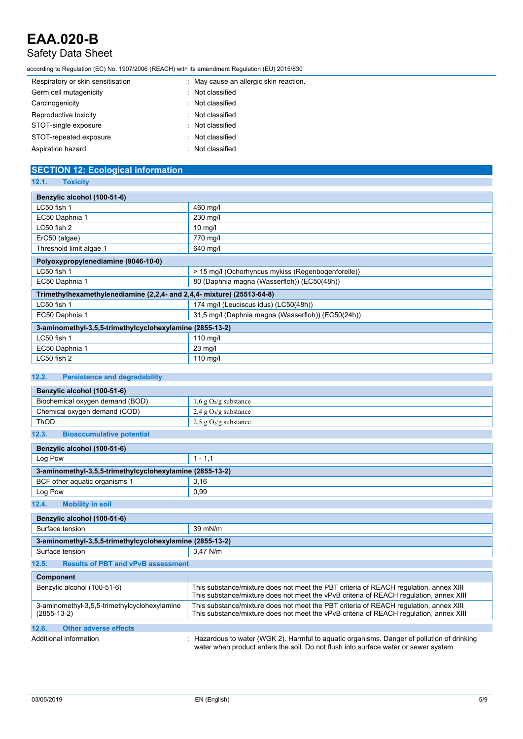### Safety Data Sheet

according to Regulation (EC) No. 1907/2006 (REACH) with its amendment Regulation (EU) 2015/830

| Respiratory or skin sensitisation | : May cause an allergic skin reaction. |
|-----------------------------------|----------------------------------------|
| Germ cell mutagenicity            | : Not classified                       |
| Carcinogenicity                   | : Not classified                       |
| Reproductive toxicity             | : Not classified                       |
| STOT-single exposure              | : Not classified                       |
| STOT-repeated exposure            | : Not classified                       |
| Aspiration hazard                 | : Not classified                       |

#### **SECTION 12: Ecological information 12.1. Toxicity**

| 14.1.<br><b>TUAIGHY</b>                                                |  |  |  |
|------------------------------------------------------------------------|--|--|--|
| Benzylic alcohol (100-51-6)                                            |  |  |  |
| 460 mg/l                                                               |  |  |  |
| 230 mg/l                                                               |  |  |  |
| $10 \text{ mg/l}$                                                      |  |  |  |
| 770 mg/l                                                               |  |  |  |
| 640 mg/l                                                               |  |  |  |
| Polyoxypropylenediamine (9046-10-0)                                    |  |  |  |
| > 15 mg/l (Ochorhyncus mykiss (Regenbogenforelle))                     |  |  |  |
| 80 (Daphnia magna (Wasserfloh)) (EC50(48h))                            |  |  |  |
| Trimethylhexamethylenediamine (2,2,4- and 2,4,4- mixture) (25513-64-8) |  |  |  |
| 174 mg/l (Leuciscus idus) (LC50(48h))                                  |  |  |  |
| 31,5 mg/l (Daphnia magna (Wasserfloh)) (EC50(24h))                     |  |  |  |
| 3-aminomethyl-3,5,5-trimethylcyclohexylamine (2855-13-2)               |  |  |  |
| $110$ mg/l                                                             |  |  |  |
| $23 \text{ mg/l}$                                                      |  |  |  |
| $110$ mg/l                                                             |  |  |  |
|                                                                        |  |  |  |

### **12.2. Persistence and degradability**

| Benzylic alcohol (100-51-6)                                       |                                                                                                                                                                                  |  |  |
|-------------------------------------------------------------------|----------------------------------------------------------------------------------------------------------------------------------------------------------------------------------|--|--|
| Biochemical oxygen demand (BOD)                                   | $1,6$ g O <sub>2</sub> /g substance                                                                                                                                              |  |  |
| Chemical oxygen demand (COD)                                      | $2.4$ g O <sub>2</sub> /g substance                                                                                                                                              |  |  |
| ThOD                                                              | $2.5$ g O <sub>2</sub> /g substance                                                                                                                                              |  |  |
| 12.3.<br><b>Bioaccumulative potential</b>                         |                                                                                                                                                                                  |  |  |
| Benzylic alcohol (100-51-6)                                       |                                                                                                                                                                                  |  |  |
| Log Pow                                                           | $1 - 1, 1$                                                                                                                                                                       |  |  |
| 3-aminomethyl-3,5,5-trimethylcyclohexylamine (2855-13-2)          |                                                                                                                                                                                  |  |  |
| BCF other aquatic organisms 1                                     | 3,16                                                                                                                                                                             |  |  |
| Log Pow                                                           | 0.99                                                                                                                                                                             |  |  |
| 12.4.<br><b>Mobility in soil</b>                                  |                                                                                                                                                                                  |  |  |
| Benzylic alcohol (100-51-6)                                       |                                                                                                                                                                                  |  |  |
| Surface tension                                                   | 39 mN/m                                                                                                                                                                          |  |  |
| 3-aminomethyl-3.5.5-trimethylcyclohexylamine (2855-13-2)          |                                                                                                                                                                                  |  |  |
| Surface tension                                                   | 3.47 N/m                                                                                                                                                                         |  |  |
| 12.5.<br><b>Results of PBT and vPvB assessment</b>                |                                                                                                                                                                                  |  |  |
| <b>Component</b>                                                  |                                                                                                                                                                                  |  |  |
| Benzylic alcohol (100-51-6)                                       | This substance/mixture does not meet the PBT criteria of REACH requiation, annex XIII<br>This substance/mixture does not meet the vPvB criteria of REACH regulation, annex XIII  |  |  |
| 3-aminomethyl-3,5,5-trimethylcyclohexylamine<br>$(2855 - 13 - 2)$ | This substance/mixture does not meet the PBT criteria of REACH regulation, annex XIII<br>This substance/mixture does not meet the vPvB criteria of REACH regulation, annex XIII  |  |  |
| 12.6.<br><b>Other adverse effects</b>                             |                                                                                                                                                                                  |  |  |
| Additional information                                            | Hazardous to water (WGK 2). Harmful to aquatic organisms. Danger of pollution of drinking<br>water when product enters the soil. Do not flush into surface water or sewer system |  |  |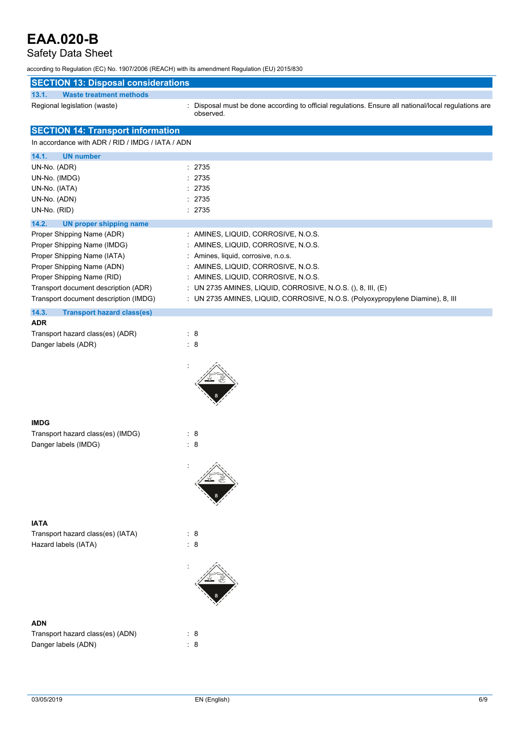### Safety Data Sheet

according to Regulation (EC) No. 1907/2006 (REACH) with its amendment Regulation (EU) 2015/830

| <b>SECTION 13: Disposal considerations</b><br>13.1.<br><b>Waste treatment methods</b> |                                                                                                                   |
|---------------------------------------------------------------------------------------|-------------------------------------------------------------------------------------------------------------------|
| Regional legislation (waste)                                                          | : Disposal must be done according to official regulations. Ensure all national/local regulations are<br>observed. |
| <b>SECTION 14: Transport information</b>                                              |                                                                                                                   |
| In accordance with ADR / RID / IMDG / IATA / ADN                                      |                                                                                                                   |
| 14.1.<br><b>UN number</b>                                                             |                                                                                                                   |
| UN-No. (ADR)                                                                          | : 2735                                                                                                            |
| UN-No. (IMDG)                                                                         | : 2735                                                                                                            |
| UN-No. (IATA)                                                                         | : 2735                                                                                                            |
| UN-No. (ADN)                                                                          | : 2735                                                                                                            |
| UN-No. (RID)                                                                          | : 2735                                                                                                            |
| 14.2.<br><b>UN proper shipping name</b>                                               |                                                                                                                   |
| Proper Shipping Name (ADR)                                                            | : AMINES, LIQUID, CORROSIVE, N.O.S.                                                                               |
| Proper Shipping Name (IMDG)                                                           | : AMINES, LIQUID, CORROSIVE, N.O.S.                                                                               |
| Proper Shipping Name (IATA)                                                           | : Amines, liquid, corrosive, n.o.s.                                                                               |
| Proper Shipping Name (ADN)                                                            | : AMINES, LIQUID, CORROSIVE, N.O.S.                                                                               |
| Proper Shipping Name (RID)                                                            | : AMINES, LIQUID, CORROSIVE, N.O.S.                                                                               |
| Transport document description (ADR)                                                  | : UN 2735 AMINES, LIQUID, CORROSIVE, N.O.S. (), 8, III, (E)                                                       |
| Transport document description (IMDG)                                                 | : UN 2735 AMINES, LIQUID, CORROSIVE, N.O.S. (Polyoxypropylene Diamine), 8, III                                    |
| 14.3.<br><b>Transport hazard class(es)</b>                                            |                                                                                                                   |
| <b>ADR</b>                                                                            |                                                                                                                   |
| Transport hazard class(es) (ADR)                                                      | $\therefore$ 8                                                                                                    |
| Danger labels (ADR)                                                                   | : 8                                                                                                               |
|                                                                                       |                                                                                                                   |
| <b>IMDG</b>                                                                           |                                                                                                                   |
| Transport hazard class(es) (IMDG)                                                     | $\cdot$ 8                                                                                                         |
| Danger labels (IMDG)                                                                  | : 8                                                                                                               |
|                                                                                       |                                                                                                                   |
|                                                                                       |                                                                                                                   |
| <b>IATA</b>                                                                           |                                                                                                                   |
| Transport hazard class(es) (IATA)                                                     | : 8                                                                                                               |
| Hazard labels (IATA)                                                                  | : 8                                                                                                               |
|                                                                                       |                                                                                                                   |
| <b>ADN</b>                                                                            |                                                                                                                   |
| Transport hazard class(es) (ADN)                                                      | : 8                                                                                                               |
| Danger labels (ADN)                                                                   | : 8                                                                                                               |
|                                                                                       |                                                                                                                   |
|                                                                                       |                                                                                                                   |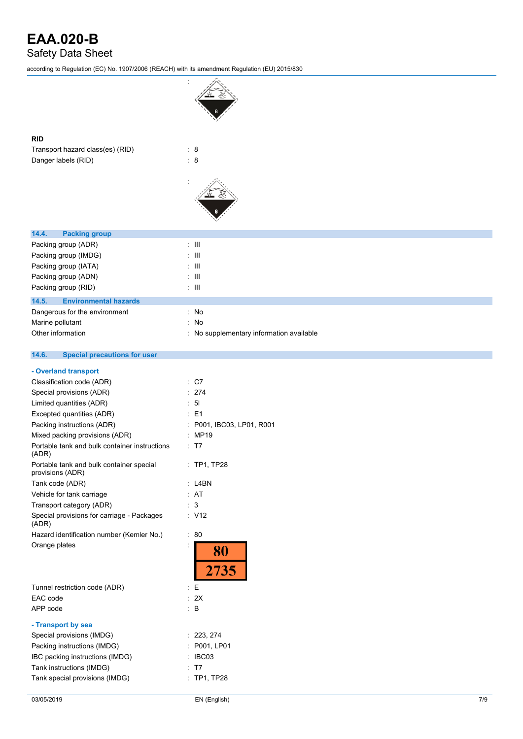Safety Data Sheet

according to Regulation (EC) No. 1907/2006 (REACH) with its amendment Regulation (EU) 2015/830

| according to Regulation (EC) No. 1907/2006 (REACH) with its amendment Regulation (EU) 2015/830 |                                        |
|------------------------------------------------------------------------------------------------|----------------------------------------|
|                                                                                                |                                        |
| <b>RID</b>                                                                                     |                                        |
| Transport hazard class(es) (RID)                                                               | $\therefore$ 8                         |
| Danger labels (RID)                                                                            | $\therefore$ 8                         |
|                                                                                                |                                        |
|                                                                                                |                                        |
| 14.4.<br><b>Packing group</b>                                                                  |                                        |
| Packing group (ADR)                                                                            | $\pm$ 111                              |
| Packing group (IMDG)                                                                           | $\pm$ 111                              |
| Packing group (IATA)                                                                           | $\pm$ 111                              |
| Packing group (ADN)                                                                            | $\pm$ 111                              |
| Packing group (RID)                                                                            | $\pm$ 111                              |
| 14.5.<br><b>Environmental hazards</b>                                                          |                                        |
| Dangerous for the environment                                                                  | : No                                   |
| Marine pollutant                                                                               | No<br>÷                                |
| Other information                                                                              | No supplementary information available |
|                                                                                                |                                        |
| 14.6.<br><b>Special precautions for user</b>                                                   |                                        |
| - Overland transport                                                                           |                                        |
| Classification code (ADR)                                                                      | $\therefore$ C7                        |
| Special provisions (ADR)                                                                       | : 274                                  |
| Limited quantities (ADR)                                                                       | $\therefore$ 5                         |
| Excepted quantities (ADR)                                                                      | $\therefore$ E1                        |
| Packing instructions (ADR)                                                                     | P001, IBC03, LP01, R001                |
| Mixed packing provisions (ADR)                                                                 | : MP19                                 |
| Portable tank and bulk container instructions<br>(ADR)                                         | $\cdot$ T7                             |
| Portable tank and bulk container special<br>provisions (ADR)                                   | : TP1, TP28                            |
| Tank code (ADR)                                                                                | $:$ L4BN                               |
| Vehicle for tank carriage                                                                      | : AT                                   |
| Transport category (ADR)                                                                       | : 3                                    |
| Special provisions for carriage - Packages<br>(ADR)                                            | $\therefore$ V12                       |
| Hazard identification number (Kemler No.)                                                      | $\therefore 80$                        |
| Orange plates                                                                                  | İ<br>80<br>2735                        |
| Tunnel restriction code (ADR)                                                                  | $\mathbf{E}$                           |
| EAC code                                                                                       | : 2X                                   |
| APP code                                                                                       | $\therefore$ B                         |
|                                                                                                |                                        |
| - Transport by sea                                                                             |                                        |
| Special provisions (IMDG)                                                                      | 223, 274                               |
| Packing instructions (IMDG)                                                                    | P001, LP01                             |
| IBC packing instructions (IMDG)<br>Tank instructions (IMDG)                                    | IBC03<br>T7                            |
| Tank special provisions (IMDG)                                                                 | : TP1, TP28                            |
|                                                                                                |                                        |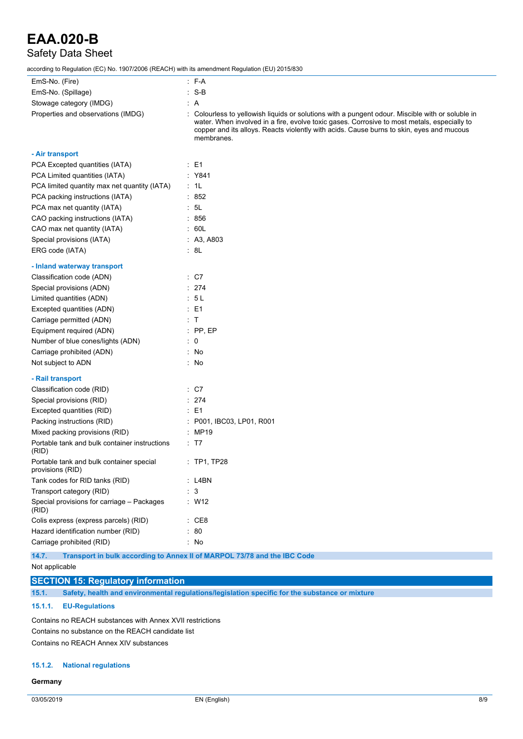### Safety Data Sheet

according to Regulation (EC) No. 1907/2006 (REACH) with its amendment Regulation (EU) 2015/830

| columny to inequiation (EO) No. 1907/2000 (NEAOH) With its americanemic inequiation (EO) 2019/090 |                                                                                                                                                                                                                                                                                                           |
|---------------------------------------------------------------------------------------------------|-----------------------------------------------------------------------------------------------------------------------------------------------------------------------------------------------------------------------------------------------------------------------------------------------------------|
| EmS-No. (Fire)                                                                                    | $-F-A$                                                                                                                                                                                                                                                                                                    |
| EmS-No. (Spillage)                                                                                | $: S-B$                                                                                                                                                                                                                                                                                                   |
| Stowage category (IMDG)                                                                           | : A                                                                                                                                                                                                                                                                                                       |
| Properties and observations (IMDG)                                                                | : Colourless to yellowish liquids or solutions with a pungent odour. Miscible with or soluble in<br>water. When involved in a fire, evolve toxic gases. Corrosive to most metals, especially to<br>copper and its alloys. Reacts violently with acids. Cause burns to skin, eyes and mucous<br>membranes. |
| - Air transport                                                                                   |                                                                                                                                                                                                                                                                                                           |
| PCA Excepted quantities (IATA)                                                                    | $\therefore$ E1                                                                                                                                                                                                                                                                                           |
| PCA Limited quantities (IATA)                                                                     | : Y841                                                                                                                                                                                                                                                                                                    |
| PCA limited quantity max net quantity (IATA)                                                      | : 1L                                                                                                                                                                                                                                                                                                      |
| PCA packing instructions (IATA)                                                                   | .852                                                                                                                                                                                                                                                                                                      |
| PCA max net quantity (IATA)                                                                       | : 5L                                                                                                                                                                                                                                                                                                      |
| CAO packing instructions (IATA)                                                                   | .856                                                                                                                                                                                                                                                                                                      |
| CAO max net quantity (IATA)                                                                       | .60 <sub>L</sub>                                                                                                                                                                                                                                                                                          |
| Special provisions (IATA)                                                                         | : A3, A803                                                                                                                                                                                                                                                                                                |
| ERG code (IATA)                                                                                   | : 8L                                                                                                                                                                                                                                                                                                      |
| - Inland waterway transport                                                                       |                                                                                                                                                                                                                                                                                                           |
| Classification code (ADN)                                                                         | : C7                                                                                                                                                                                                                                                                                                      |
| Special provisions (ADN)                                                                          | : 274                                                                                                                                                                                                                                                                                                     |
| Limited quantities (ADN)                                                                          | 5L                                                                                                                                                                                                                                                                                                        |
| Excepted quantities (ADN)                                                                         | $\therefore$ E1                                                                                                                                                                                                                                                                                           |
| Carriage permitted (ADN)                                                                          | $\pm$ T.                                                                                                                                                                                                                                                                                                  |
| Equipment required (ADN)                                                                          | $:$ PP, EP                                                                                                                                                                                                                                                                                                |
| Number of blue cones/lights (ADN)                                                                 | $\therefore$ 0                                                                                                                                                                                                                                                                                            |
| Carriage prohibited (ADN)                                                                         | $\therefore$ No                                                                                                                                                                                                                                                                                           |
| Not subject to ADN                                                                                | $\therefore$ No                                                                                                                                                                                                                                                                                           |
| - Rail transport                                                                                  |                                                                                                                                                                                                                                                                                                           |
| Classification code (RID)                                                                         | $\cdot$ C7                                                                                                                                                                                                                                                                                                |
| Special provisions (RID)                                                                          | .274                                                                                                                                                                                                                                                                                                      |
| Excepted quantities (RID)                                                                         | $\therefore$ E1                                                                                                                                                                                                                                                                                           |
| Packing instructions (RID)                                                                        | : P001, IBC03, LP01, R001                                                                                                                                                                                                                                                                                 |
| Mixed packing provisions (RID)                                                                    | : MP19                                                                                                                                                                                                                                                                                                    |
| Portable tank and bulk container instructions<br>(RID)                                            | : T7                                                                                                                                                                                                                                                                                                      |
| Portable tank and bulk container special<br>provisions (RID)                                      | : TP1, TP28                                                                                                                                                                                                                                                                                               |
| Tank codes for RID tanks (RID)                                                                    | : L4BN                                                                                                                                                                                                                                                                                                    |
| Transport category (RID)                                                                          | $\therefore$ 3                                                                                                                                                                                                                                                                                            |
| Special provisions for carriage - Packages<br>(RID)                                               | : W12                                                                                                                                                                                                                                                                                                     |
| Colis express (express parcels) (RID)                                                             | $\therefore$ CE8                                                                                                                                                                                                                                                                                          |
| Hazard identification number (RID)                                                                | $\cdot$ 80                                                                                                                                                                                                                                                                                                |
| Carriage prohibited (RID)                                                                         | : No                                                                                                                                                                                                                                                                                                      |
|                                                                                                   |                                                                                                                                                                                                                                                                                                           |

**14.7. Transport in bulk according to Annex II of MARPOL 73/78 and the IBC Code**

### **SECTION 15: Regulatory information**

**15.1. Safety, health and environmental regulations/legislation specific for the substance or mixture**

#### **15.1.1. EU-Regulations**

Contains no REACH substances with Annex XVII restrictions Contains no substance on the REACH candidate list Contains no REACH Annex XIV substances

#### **15.1.2. National regulations**

#### **Germany**

Not applicable